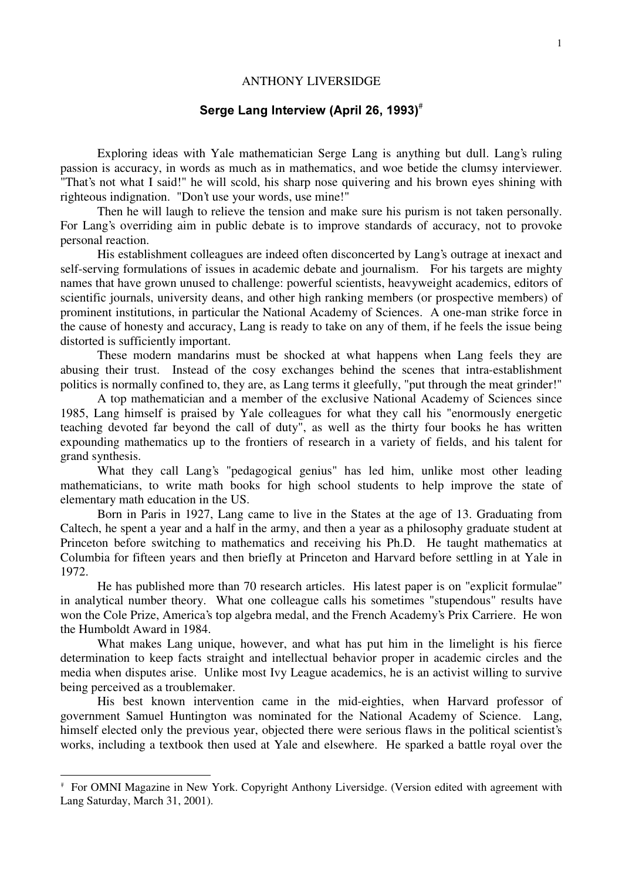## ANTHONY LIVERSIDGE

# Serge Lang Interview (April 26, 1993) $^{\text{\tiny{\#}}}$

Exploring ideas with Yale mathematician Serge Lang is anything but dull. Lang's ruling passion is accuracy, in words as much as in mathematics, and woe betide the clumsy interviewer. "That's not what I said!" he will scold, his sharp nose quivering and his brown eyes shining with righteous indignation. "Don't use your words, use mine!"

Then he will laugh to relieve the tension and make sure his purism is not taken personally. For Lang's overriding aim in public debate is to improve standards of accuracy, not to provoke personal reaction.

His establishment colleagues are indeed often disconcerted by Lang's outrage at inexact and self-serving formulations of issues in academic debate and journalism. For his targets are mighty names that have grown unused to challenge: powerful scientists, heavyweight academics, editors of scientific journals, university deans, and other high ranking members (or prospective members) of prominent institutions, in particular the National Academy of Sciences. A one-man strike force in the cause of honesty and accuracy, Lang is ready to take on any of them, if he feels the issue being distorted is sufficiently important.

These modern mandarins must be shocked at what happens when Lang feels they are abusing their trust. Instead of the cosy exchanges behind the scenes that intra-establishment politics is normally confined to, they are, as Lang terms it gleefully, "put through the meat grinder!"

A top mathematician and a member of the exclusive National Academy of Sciences since 1985, Lang himself is praised by Yale colleagues for what they call his "enormously energetic teaching devoted far beyond the call of duty", as well as the thirty four books he has written expounding mathematics up to the frontiers of research in a variety of fields, and his talent for grand synthesis.

What they call Lang's "pedagogical genius" has led him, unlike most other leading mathematicians, to write math books for high school students to help improve the state of elementary math education in the US.

Born in Paris in 1927, Lang came to live in the States at the age of 13. Graduating from Caltech, he spent a year and a half in the army, and then a year as a philosophy graduate student at Princeton before switching to mathematics and receiving his Ph.D. He taught mathematics at Columbia for fifteen years and then briefly at Princeton and Harvard before settling in at Yale in 1972.

He has published more than 70 research articles. His latest paper is on "explicit formulae" in analytical number theory. What one colleague calls his sometimes "stupendous" results have won the Cole Prize, America's top algebra medal, and the French Academy's Prix Carriere. He won the Humboldt Award in 1984.

What makes Lang unique, however, and what has put him in the limelight is his fierce determination to keep facts straight and intellectual behavior proper in academic circles and the media when disputes arise. Unlike most Ivy League academics, he is an activist willing to survive being perceived as a troublemaker.

His best known intervention came in the mid-eighties, when Harvard professor of government Samuel Huntington was nominated for the National Academy of Science. Lang, himself elected only the previous year, objected there were serious flaws in the political scientist's works, including a textbook then used at Yale and elsewhere. He sparked a battle royal over the

<sup>#</sup> For OMNI Magazine in New York. Copyright Anthony Liversidge. (Version edited with agreement with Lang Saturday, March 31, 2001).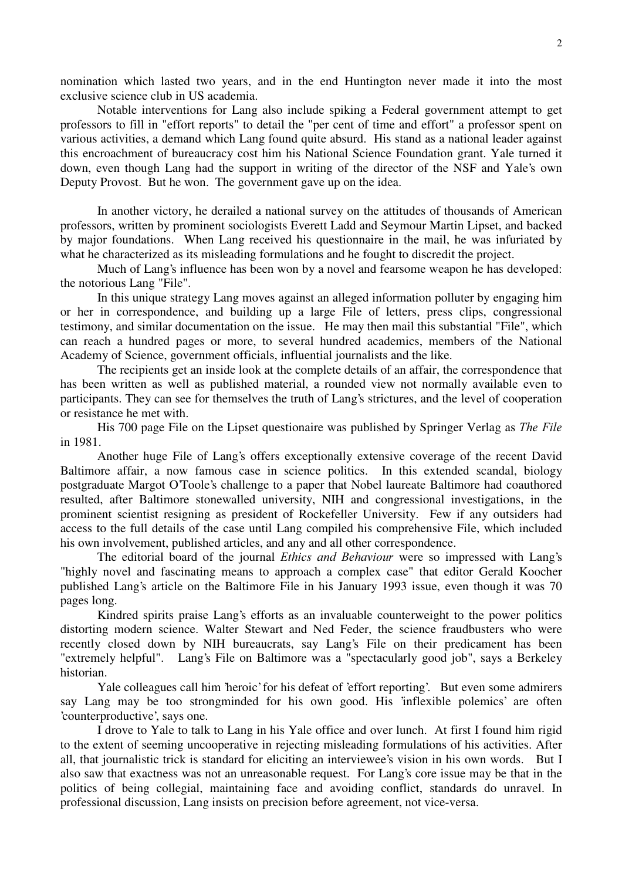nomination which lasted two years, and in the end Huntington never made it into the most exclusive science club in US academia.

Notable interventions for Lang also include spiking a Federal government attempt to get professors to fill in "effort reports" to detail the "per cent of time and effort" a professor spent on various activities, a demand which Lang found quite absurd. His stand as a national leader against this encroachment of bureaucracy cost him his National Science Foundation grant. Yale turned it down, even though Lang had the support in writing of the director of the NSF and Yale's own Deputy Provost. But he won. The government gave up on the idea.

In another victory, he derailed a national survey on the attitudes of thousands of American professors, written by prominent sociologists Everett Ladd and Seymour Martin Lipset, and backed by major foundations. When Lang received his questionnaire in the mail, he was infuriated by what he characterized as its misleading formulations and he fought to discredit the project.

Much of Lang's influence has been won by a novel and fearsome weapon he has developed: the notorious Lang "File".

In this unique strategy Lang moves against an alleged information polluter by engaging him or her in correspondence, and building up a large File of letters, press clips, congressional testimony, and similar documentation on the issue. He may then mail this substantial "File", which can reach a hundred pages or more, to several hundred academics, members of the National Academy of Science, government officials, influential journalists and the like.

The recipients get an inside look at the complete details of an affair, the correspondence that has been written as well as published material, a rounded view not normally available even to participants. They can see for themselves the truth of Lang's strictures, and the level of cooperation or resistance he met with.

His 700 page File on the Lipset questionaire was published by Springer Verlag as The File in 1981.

Another huge File of Lang's offers exceptionally extensive coverage of the recent David Baltimore affair, a now famous case in science politics. In this extended scandal, biology postgraduate Margot O'Toole's challenge to a paper that Nobel laureate Baltimore had coauthored resulted, after Baltimore stonewalled university, NIH and congressional investigations, in the prominent scientist resigning as president of Rockefeller University. Few if any outsiders had access to the full details of the case until Lang compiled his comprehensive File, which included his own involvement, published articles, and any and all other correspondence.

The editorial board of the journal *Ethics and Behaviour* were so impressed with Lang's "highly novel and fascinating means to approach a complex case" that editor Gerald Koocher published Lang's article on the Baltimore File in his January 1993 issue, even though it was 70 pages long.

Kindred spirits praise Lang's efforts as an invaluable counterweight to the power politics distorting modern science. Walter Stewart and Ned Feder, the science fraudbusters who were recently closed down by NIH bureaucrats, say Lang's File on their predicament has been "extremely helpful". Lang's File on Baltimore was a "spectacularly good job", says a Berkeley historian.

Yale colleagues call him 'heroic' for his defeat of 'effort reporting'. But even some admirers say Lang may be too strongminded for his own good. His 'inflexible polemics' are often 'counterproductive', says one.

I drove to Yale to talk to Lang in his Yale office and over lunch. At first I found him rigid to the extent of seeming uncooperative in rejecting misleading formulations of his activities. After all, that journalistic trick is standard for eliciting an interviewee's vision in his own words. But I also saw that exactness was not an unreasonable request. For Lang's core issue may be that in the politics of being collegial, maintaining face and avoiding conflict, standards do unravel. In professional discussion, Lang insists on precision before agreement, not vice-versa.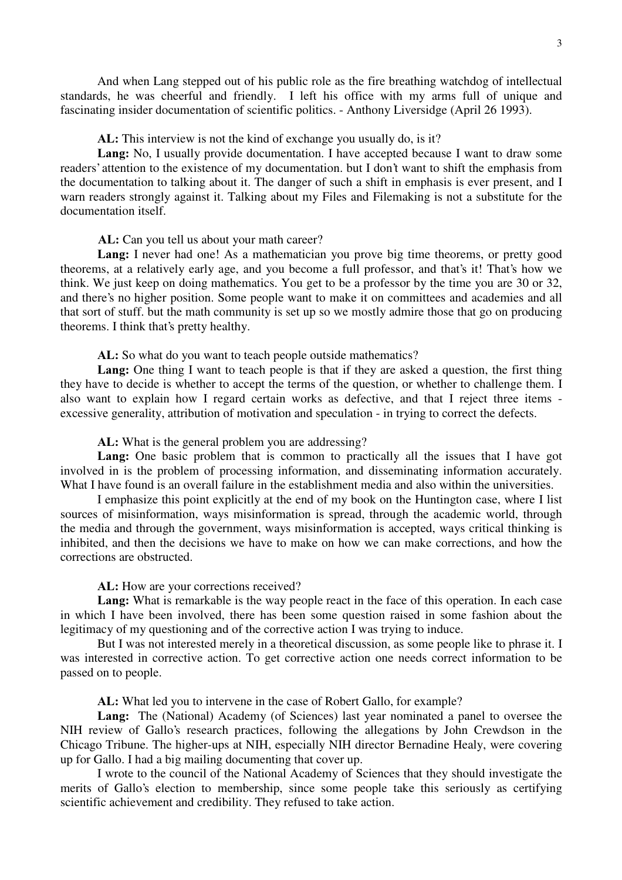And when Lang stepped out of his public role as the fire breathing watchdog of intellectual standards, he was cheerful and friendly. I left his office with my arms full of unique and fascinating insider documentation of scientific politics. - Anthony Liversidge (April 26 1993).

AL: This interview is not the kind of exchange you usually do, is it?

Lang: No, I usually provide documentation. I have accepted because I want to draw some readers'attention to the existence of my documentation. but I don't want to shift the emphasis from the documentation to talking about it. The danger of such a shift in emphasis is ever present, and I warn readers strongly against it. Talking about my Files and Filemaking is not a substitute for the documentation itself.

AL: Can you tell us about your math career?

Lang: I never had one! As a mathematician you prove big time theorems, or pretty good theorems, at a relatively early age, and you become a full professor, and that's it! That's how we think. We just keep on doing mathematics. You get to be a professor by the time you are 30 or 32, and there's no higher position. Some people want to make it on committees and academies and all that sort of stuff. but the math community is set up so we mostly admire those that go on producing theorems. I think that's pretty healthy.

AL: So what do you want to teach people outside mathematics?

Lang: One thing I want to teach people is that if they are asked a question, the first thing they have to decide is whether to accept the terms of the question, or whether to challenge them. I also want to explain how I regard certain works as defective, and that I reject three items excessive generality, attribution of motivation and speculation - in trying to correct the defects.

AL: What is the general problem you are addressing?

Lang: One basic problem that is common to practically all the issues that I have got involved in is the problem of processing information, and disseminating information accurately. What I have found is an overall failure in the establishment media and also within the universities.

I emphasize this point explicitly at the end of my book on the Huntington case, where I list sources of misinformation, ways misinformation is spread, through the academic world, through the media and through the government, ways misinformation is accepted, ways critical thinking is inhibited, and then the decisions we have to make on how we can make corrections, and how the corrections are obstructed.

AL: How are your corrections received?

Lang: What is remarkable is the way people react in the face of this operation. In each case in which I have been involved, there has been some question raised in some fashion about the legitimacy of my questioning and of the corrective action I was trying to induce.

But I was not interested merely in a theoretical discussion, as some people like to phrase it. I was interested in corrective action. To get corrective action one needs correct information to be passed on to people.

AL: What led you to intervene in the case of Robert Gallo, for example?

Lang: The (National) Academy (of Sciences) last year nominated a panel to oversee the NIH review of Gallo's research practices, following the allegations by John Crewdson in the Chicago Tribune. The higher-ups at NIH, especially NIH director Bernadine Healy, were covering up for Gallo. I had a big mailing documenting that cover up.

I wrote to the council of the National Academy of Sciences that they should investigate the merits of Gallo's election to membership, since some people take this seriously as certifying scientific achievement and credibility. They refused to take action.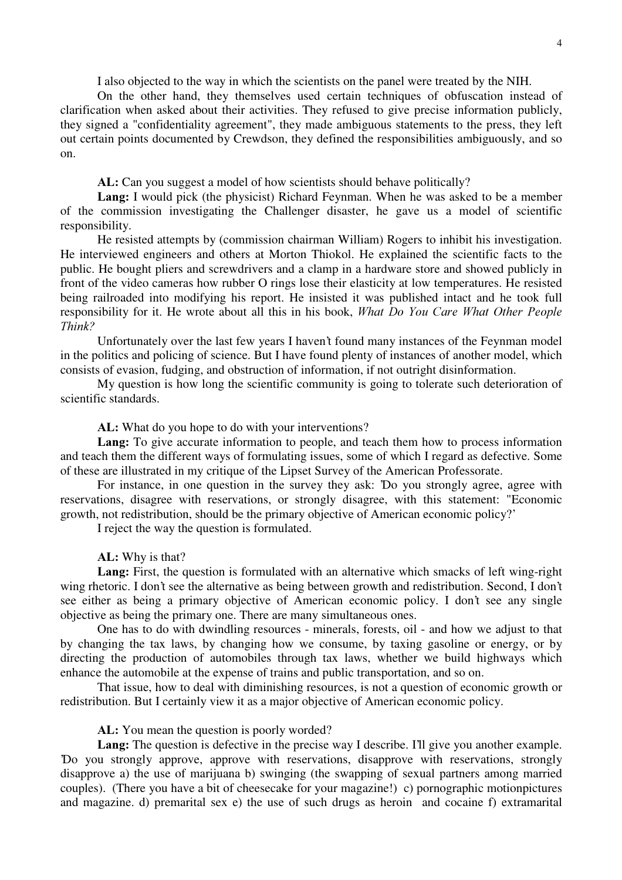I also objected to the way in which the scientists on the panel were treated by the NIH.

On the other hand, they themselves used certain techniques of obfuscation instead of clarification when asked about their activities. They refused to give precise information publicly, they signed a "confidentiality agreement", they made ambiguous statements to the press, they left out certain points documented by Crewdson, they defined the responsibilities ambiguously, and so on.

AL: Can you suggest a model of how scientists should behave politically?

**Lang:** I would pick (the physicist) Richard Feynman. When he was asked to be a member of the commission investigating the Challenger disaster, he gave us a model of scientific responsibility.

He resisted attempts by (commission chairman William) Rogers to inhibit his investigation. He interviewed engineers and others at Morton Thiokol. He explained the scientific facts to the public. He bought pliers and screwdrivers and a clamp in a hardware store and showed publicly in front of the video cameras how rubber O rings lose their elasticity at low temperatures. He resisted being railroaded into modifying his report. He insisted it was published intact and he took full responsibility for it. He wrote about all this in his book, What Do You Care What Other People Think?

Unfortunately over the last few years I haven't found many instances of the Feynman model in the politics and policing of science. But I have found plenty of instances of another model, which consists of evasion, fudging, and obstruction of information, if not outright disinformation.

My question is how long the scientific community is going to tolerate such deterioration of scientific standards.

AL: What do you hope to do with your interventions?

Lang: To give accurate information to people, and teach them how to process information and teach them the different ways of formulating issues, some of which I regard as defective. Some of these are illustrated in my critique of the Lipset Survey of the American Professorate.

For instance, in one question in the survey they ask: 'Do you strongly agree, agree with reservations, disagree with reservations, or strongly disagree, with this statement: "Economic growth, not redistribution, should be the primary objective of American economic policy?'

I reject the way the question is formulated.

AL: Why is that?

**Lang:** First, the question is formulated with an alternative which smacks of left wing-right wing rhetoric. I don't see the alternative as being between growth and redistribution. Second, I don't see either as being a primary objective of American economic policy. I don't see any single objective as being the primary one. There are many simultaneous ones.

One has to do with dwindling resources - minerals, forests, oil - and how we adjust to that by changing the tax laws, by changing how we consume, by taxing gasoline or energy, or by directing the production of automobiles through tax laws, whether we build highways which enhance the automobile at the expense of trains and public transportation, and so on.

That issue, how to deal with diminishing resources, is not a question of economic growth or redistribution. But I certainly view it as a major objective of American economic policy.

AL: You mean the question is poorly worded?

Lang: The question is defective in the precise way I describe. I'll give you another example. 'Do you strongly approve, approve with reservations, disapprove with reservations, strongly disapprove a) the use of marijuana b) swinging (the swapping of sexual partners among married couples). (There you have a bit of cheesecake for your magazine!) c) pornographic motionpictures and magazine. d) premarital sex e) the use of such drugs as heroin and cocaine f) extramarital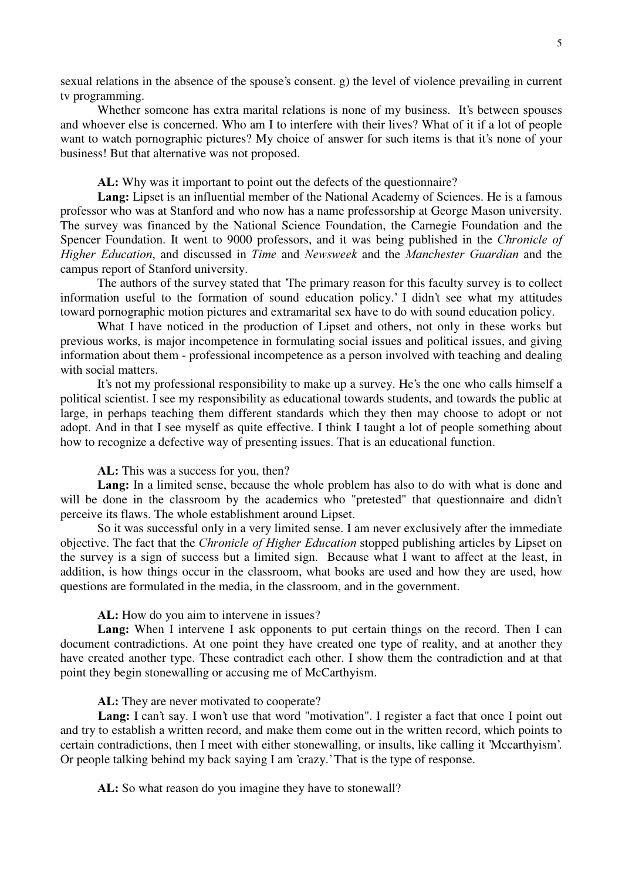sexual relations in the absence of the spouse's consent. g) the level of violence prevailing in current tv programming.

Whether someone has extra marital relations is none of my business. It's between spouses and whoever else is concerned. Who am I to interfere with their lives? What of it if a lot of people want to watch pornographic pictures? My choice of answer for such items is that it's none of your business! But that alternative was not proposed.

AL: Why was it important to point out the defects of the questionnaire?

Lang: Lipset is an influential member of the National Academy of Sciences. He is a famous professor who was at Stanford and who now has a name professorship at George Mason university. The survey was financed by the National Science Foundation, the Carnegie Foundation and the Spencer Foundation. It went to 9000 professors, and it was being published in the Chronicle of Higher Education, and discussed in Time and Newsweek and the Manchester Guardian and the campus report of Stanford university.

The authors of the survey stated that 'The primary reason for this faculty survey is to collect information useful to the formation of sound education policy.' I didn't see what my attitudes toward pornographic motion pictures and extramarital sex have to do with sound education policy.

What I have noticed in the production of Lipset and others, not only in these works but previous works, is major incompetence in formulating social issues and political issues, and giving information about them - professional incompetence as a person involved with teaching and dealing with social matters.

It's not my professional responsibility to make up a survey. He's the one who calls himself a political scientist. I see my responsibility as educational towards students, and towards the public at large, in perhaps teaching them different standards which they then may choose to adopt or not adopt. And in that I see myself as quite effective. I think I taught a lot of people something about how to recognize a defective way of presenting issues. That is an educational function.

AL: This was a success for you, then?

Lang: In a limited sense, because the whole problem has also to do with what is done and will be done in the classroom by the academics who "pretested" that questionnaire and didn't perceive its flaws. The whole establishment around Lipset.

So it was successful only in a very limited sense. I am never exclusively after the immediate objective. The fact that the *Chronicle of Higher Education* stopped publishing articles by Lipset on the survey is a sign of success but a limited sign. Because what I want to affect at the least, in addition, is how things occur in the classroom, what books are used and how they are used, how questions are formulated in the media, in the classroom, and in the government.

AL: How do you aim to intervene in issues?

Lang: When I intervene I ask opponents to put certain things on the record. Then I can document contradictions. At one point they have created one type of reality, and at another they have created another type. These contradict each other. I show them the contradiction and at that point they begin stonewalling or accusing me of McCarthyism.

AL: They are never motivated to cooperate?

Lang: I can't say. I won't use that word "motivation". I register a fact that once I point out and try to establish a written record, and make them come out in the written record, which points to certain contradictions, then I meet with either stonewalling, or insults, like calling it 'Mccarthyism'. Or people talking behind my back saying I am 'crazy.'That is the type of response.

AL: So what reason do you imagine they have to stonewall?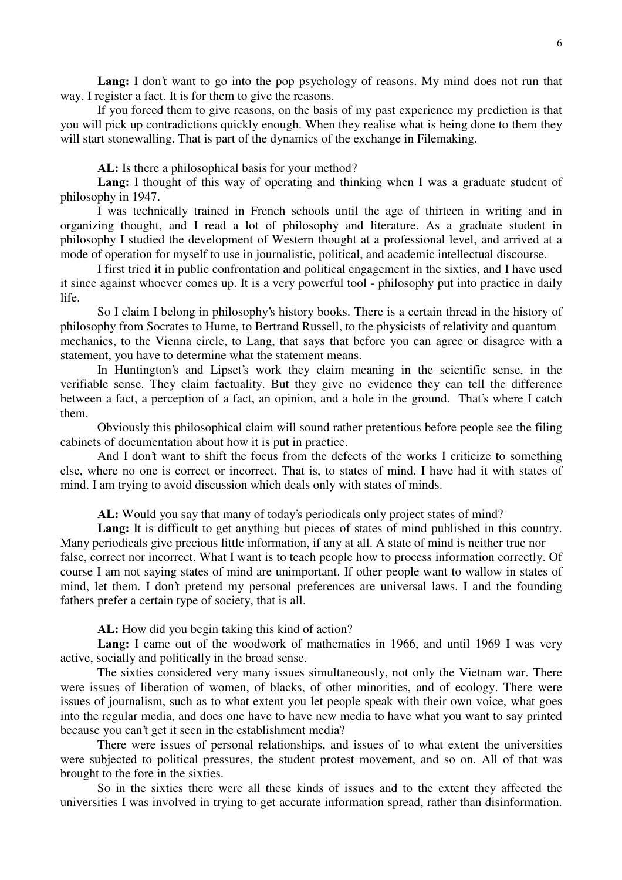Lang: I don't want to go into the pop psychology of reasons. My mind does not run that way. I register a fact. It is for them to give the reasons.

If you forced them to give reasons, on the basis of my past experience my prediction is that you will pick up contradictions quickly enough. When they realise what is being done to them they will start stonewalling. That is part of the dynamics of the exchange in Filemaking.

AL: Is there a philosophical basis for your method?

**Lang:** I thought of this way of operating and thinking when I was a graduate student of philosophy in 1947.

I was technically trained in French schools until the age of thirteen in writing and in organizing thought, and I read a lot of philosophy and literature. As a graduate student in philosophy I studied the development of Western thought at a professional level, and arrived at a mode of operation for myself to use in journalistic, political, and academic intellectual discourse.

I first tried it in public confrontation and political engagement in the sixties, and I have used it since against whoever comes up. It is a very powerful tool - philosophy put into practice in daily life.

So I claim I belong in philosophy's history books. There is a certain thread in the history of philosophy from Socrates to Hume, to Bertrand Russell, to the physicists of relativity and quantum mechanics, to the Vienna circle, to Lang, that says that before you can agree or disagree with a statement, you have to determine what the statement means.

In Huntington's and Lipset's work they claim meaning in the scientific sense, in the verifiable sense. They claim factuality. But they give no evidence they can tell the difference between a fact, a perception of a fact, an opinion, and a hole in the ground. That's where I catch them.

Obviously this philosophical claim will sound rather pretentious before people see the filing cabinets of documentation about how it is put in practice.

And I don't want to shift the focus from the defects of the works I criticize to something else, where no one is correct or incorrect. That is, to states of mind. I have had it with states of mind. I am trying to avoid discussion which deals only with states of minds.

AL: Would you say that many of today's periodicals only project states of mind?

Lang: It is difficult to get anything but pieces of states of mind published in this country. Many periodicals give precious little information, if any at all. A state of mind is neither true nor false, correct nor incorrect. What I want is to teach people how to process information correctly. Of

course I am not saying states of mind are unimportant. If other people want to wallow in states of mind, let them. I don't pretend my personal preferences are universal laws. I and the founding fathers prefer a certain type of society, that is all.

AL: How did you begin taking this kind of action?

Lang: I came out of the woodwork of mathematics in 1966, and until 1969 I was very active, socially and politically in the broad sense.

The sixties considered very many issues simultaneously, not only the Vietnam war. There were issues of liberation of women, of blacks, of other minorities, and of ecology. There were issues of journalism, such as to what extent you let people speak with their own voice, what goes into the regular media, and does one have to have new media to have what you want to say printed because you can't get it seen in the establishment media?

There were issues of personal relationships, and issues of to what extent the universities were subjected to political pressures, the student protest movement, and so on. All of that was brought to the fore in the sixties.

So in the sixties there were all these kinds of issues and to the extent they affected the universities I was involved in trying to get accurate information spread, rather than disinformation.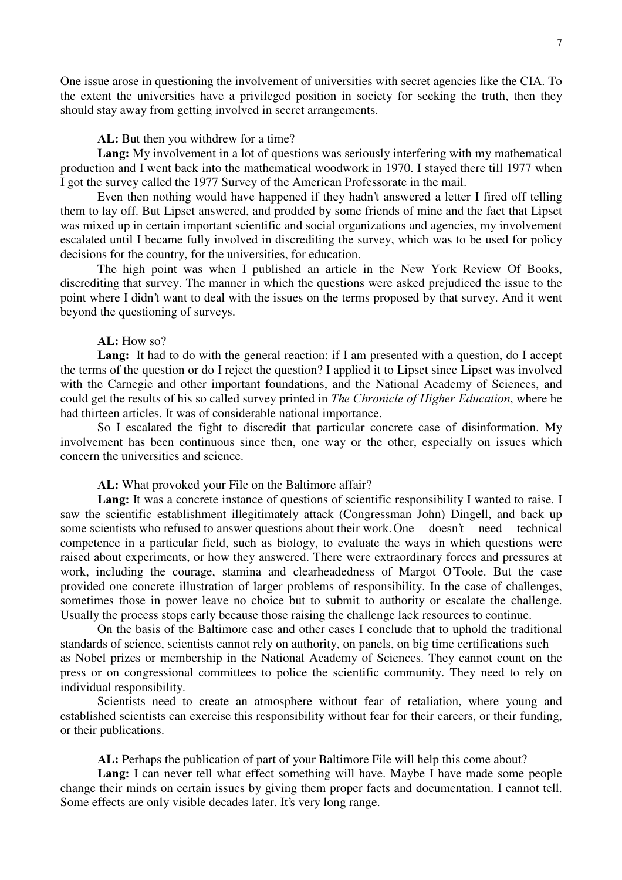One issue arose in questioning the involvement of universities with secret agencies like the CIA. To the extent the universities have a privileged position in society for seeking the truth, then they should stay away from getting involved in secret arrangements.

### AL: But then you withdrew for a time?

Lang: My involvement in a lot of questions was seriously interfering with my mathematical production and I went back into the mathematical woodwork in 1970. I stayed there till 1977 when I got the survey called the 1977 Survey of the American Professorate in the mail.

Even then nothing would have happened if they hadn't answered a letter I fired off telling them to lay off. But Lipset answered, and prodded by some friends of mine and the fact that Lipset was mixed up in certain important scientific and social organizations and agencies, my involvement escalated until I became fully involved in discrediting the survey, which was to be used for policy decisions for the country, for the universities, for education.

The high point was when I published an article in the New York Review Of Books, discrediting that survey. The manner in which the questions were asked prejudiced the issue to the point where I didn't want to deal with the issues on the terms proposed by that survey. And it went beyond the questioning of surveys.

# $AL: How so?$

Lang: It had to do with the general reaction: if I am presented with a question, do I accept the terms of the question or do I reject the question? I applied it to Lipset since Lipset was involved with the Carnegie and other important foundations, and the National Academy of Sciences, and could get the results of his so called survey printed in *The Chronicle of Higher Education*, where he had thirteen articles. It was of considerable national importance.

So I escalated the fight to discredit that particular concrete case of disinformation. My involvement has been continuous since then, one way or the other, especially on issues which concern the universities and science.

# AL: What provoked your File on the Baltimore affair?

Lang: It was a concrete instance of questions of scientific responsibility I wanted to raise. I saw the scientific establishment illegitimately attack (Congressman John) Dingell, and back up some scientists who refused to answer questions about their work. One doesn't need technical competence in a particular field, such as biology, to evaluate the ways in which questions were raised about experiments, or how they answered. There were extraordinary forces and pressures at work, including the courage, stamina and clearheadedness of Margot O'Toole. But the case provided one concrete illustration of larger problems of responsibility. In the case of challenges, sometimes those in power leave no choice but to submit to authority or escalate the challenge. Usually the process stops early because those raising the challenge lack resources to continue.

On the basis of the Baltimore case and other cases I conclude that to uphold the traditional standards of science, scientists cannot rely on authority, on panels, on big time certifications such as Nobel prizes or membership in the National Academy of Sciences. They cannot count on the press or on congressional committees to police the scientific community. They need to rely on individual responsibility.

Scientists need to create an atmosphere without fear of retaliation, where young and established scientists can exercise this responsibility without fear for their careers, or their funding, or their publications.

AL: Perhaps the publication of part of your Baltimore File will help this come about?

**Lang:** I can never tell what effect something will have. Maybe I have made some people change their minds on certain issues by giving them proper facts and documentation. I cannot tell. Some effects are only visible decades later. It's very long range.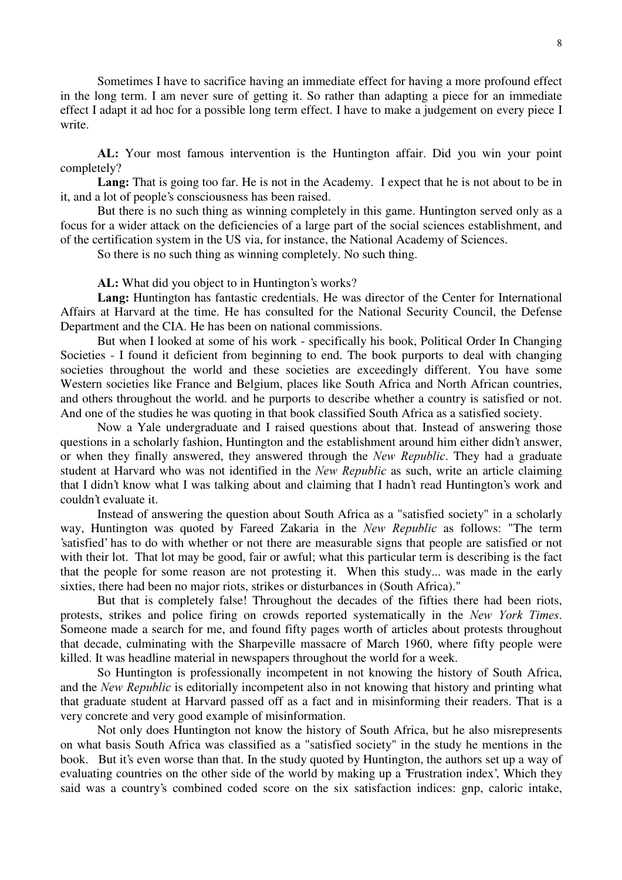Sometimes I have to sacrifice having an immediate effect for having a more profound effect in the long term. I am never sure of getting it. So rather than adapting a piece for an immediate effect I adapt it ad hoc for a possible long term effect. I have to make a judgement on every piece I write.

AL: Your most famous intervention is the Huntington affair. Did you win your point completely?

Lang: That is going too far. He is not in the Academy. I expect that he is not about to be in it, and a lot of people's consciousness has been raised.

But there is no such thing as winning completely in this game. Huntington served only as a focus for a wider attack on the deficiencies of a large part of the social sciences establishment, and of the certification system in the US via, for instance, the National Academy of Sciences.

So there is no such thing as winning completely. No such thing.

AL: What did you object to in Huntington's works?

Lang: Huntington has fantastic credentials. He was director of the Center for International Affairs at Harvard at the time. He has consulted for the National Security Council, the Defense Department and the CIA. He has been on national commissions.

But when I looked at some of his work - specifically his book, Political Order In Changing Societies - I found it deficient from beginning to end. The book purports to deal with changing societies throughout the world and these societies are exceedingly different. You have some Western societies like France and Belgium, places like South Africa and North African countries, and others throughout the world. and he purports to describe whether a country is satisfied or not. And one of the studies he was quoting in that book classified South Africa as a satisfied society.

Now a Yale undergraduate and I raised questions about that. Instead of answering those questions in a scholarly fashion, Huntington and the establishment around him either didn't answer, or when they finally answered, they answered through the *New Republic*. They had a graduate student at Harvard who was not identified in the New Republic as such, write an article claiming that I didn't know what I was talking about and claiming that I hadn't read Huntington's work and couldn't evaluate it.

Instead of answering the question about South Africa as a "satisfied society" in a scholarly way, Huntington was quoted by Fareed Zakaria in the New Republic as follows: "The term 'satisfied' has to do with whether or not there are measurable signs that people are satisfied or not with their lot. That lot may be good, fair or awful; what this particular term is describing is the fact that the people for some reason are not protesting it. When this study... was made in the early sixties, there had been no major riots, strikes or disturbances in (South Africa)."

But that is completely false! Throughout the decades of the fifties there had been riots, protests, strikes and police firing on crowds reported systematically in the New York Times. Someone made a search for me, and found fifty pages worth of articles about protests throughout that decade, culminating with the Sharpeville massacre of March 1960, where fifty people were killed. It was headline material in newspapers throughout the world for a week.

So Huntington is professionally incompetent in not knowing the history of South Africa, and the New Republic is editorially incompetent also in not knowing that history and printing what that graduate student at Harvard passed off as a fact and in misinforming their readers. That is a very concrete and very good example of misinformation.

Not only does Huntington not know the history of South Africa, but he also misrepresents on what basis South Africa was classified as a "satisfied society" in the study he mentions in the book. But it's even worse than that. In the study quoted by Huntington, the authors set up a way of evaluating countries on the other side of the world by making up a 'Frustration index', Which they said was a country's combined coded score on the six satisfaction indices: gnp, caloric intake,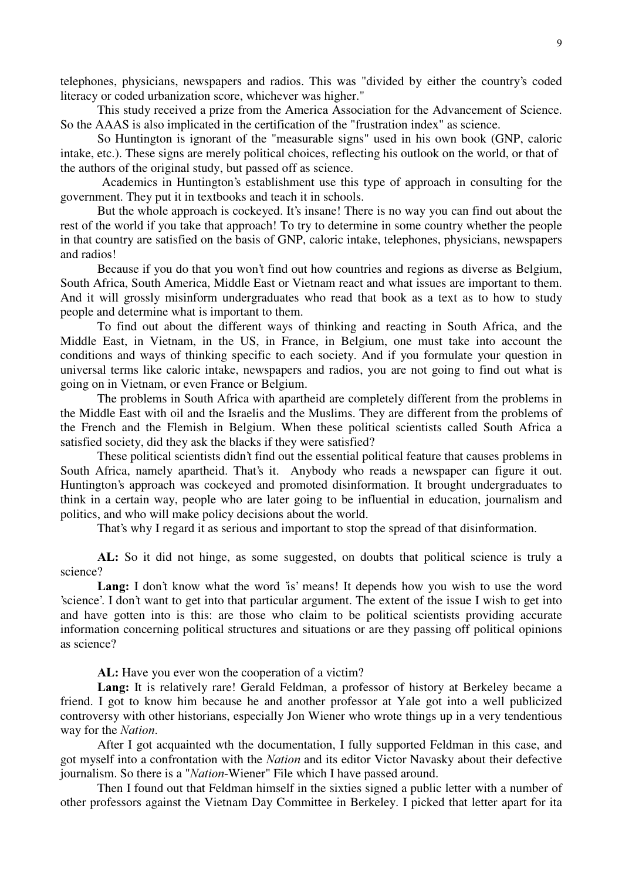telephones, physicians, newspapers and radios. This was "divided by either the country's coded literacy or coded urbanization score, whichever was higher."

This study received a prize from the America Association for the Advancement of Science. So the AAAS is also implicated in the certification of the "frustration index" as science.

So Huntington is ignorant of the "measurable signs" used in his own book (GNP, caloric intake, etc.). These signs are merely political choices, reflecting his outlook on the world, or that of the authors of the original study, but passed off as science.

Academics in Huntington's establishment use this type of approach in consulting for the government. They put it in textbooks and teach it in schools.

But the whole approach is cockeyed. It's insane! There is no way you can find out about the rest of the world if you take that approach! To try to determine in some country whether the people in that country are satisfied on the basis of GNP, caloric intake, telephones, physicians, newspapers and radios!

Because if you do that you won't find out how countries and regions as diverse as Belgium, South Africa, South America, Middle East or Vietnam react and what issues are important to them. And it will grossly misinform undergraduates who read that book as a text as to how to study people and determine what is important to them.

To find out about the different ways of thinking and reacting in South Africa, and the Middle East, in Vietnam, in the US, in France, in Belgium, one must take into account the conditions and ways of thinking specific to each society. And if you formulate your question in universal terms like caloric intake, newspapers and radios, you are not going to find out what is going on in Vietnam, or even France or Belgium.

The problems in South Africa with apartheid are completely different from the problems in the Middle East with oil and the Israelis and the Muslims. They are different from the problems of the French and the Flemish in Belgium. When these political scientists called South Africa a satisfied society, did they ask the blacks if they were satisfied?

These political scientists didn't find out the essential political feature that causes problems in South Africa, namely apartheid. That's it. Anybody who reads a newspaper can figure it out. Huntington's approach was cockeyed and promoted disinformation. It brought undergraduates to think in a certain way, people who are later going to be influential in education, journalism and politics, and who will make policy decisions about the world.

That's why I regard it as serious and important to stop the spread of that disinformation.

AL: So it did not hinge, as some suggested, on doubts that political science is truly a science?

Lang: I don't know what the word 'is' means! It depends how you wish to use the word 'science'. I don't want to get into that particular argument. The extent of the issue I wish to get into and have gotten into is this: are those who claim to be political scientists providing accurate information concerning political structures and situations or are they passing off political opinions as science?

AL: Have you ever won the cooperation of a victim?

Lang: It is relatively rare! Gerald Feldman, a professor of history at Berkeley became a friend. I got to know him because he and another professor at Yale got into a well publicized controversy with other historians, especially Jon Wiener who wrote things up in a very tendentious way for the Nation.

After I got acquainted wth the documentation, I fully supported Feldman in this case, and got myself into a confrontation with the Nation and its editor Victor Navasky about their defective journalism. So there is a "*Nation*-Wiener" File which I have passed around.

Then I found out that Feldman himself in the sixties signed a public letter with a number of other professors against the Vietnam Day Committee in Berkeley. I picked that letter apart for ita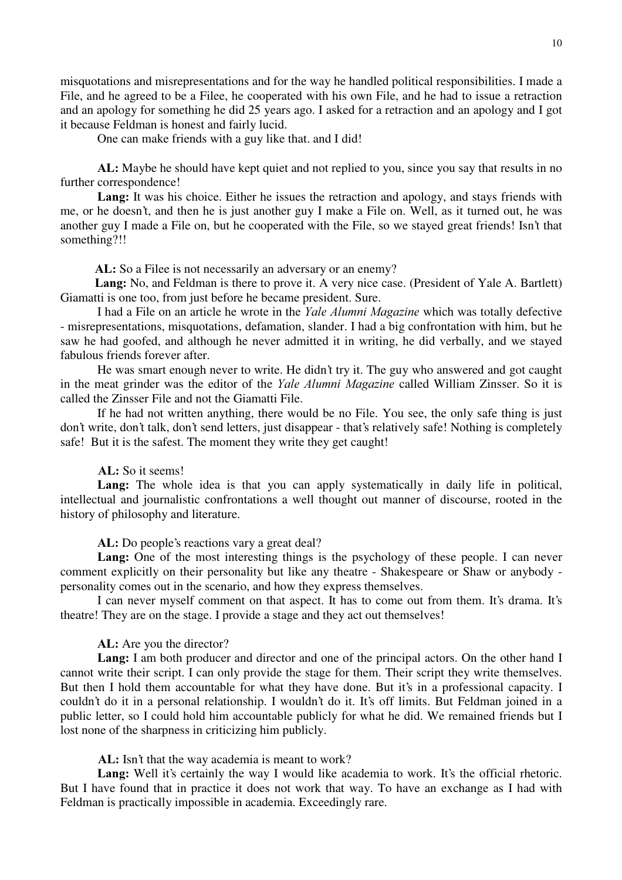misquotations and misrepresentations and for the way he handled political responsibilities. I made a File, and he agreed to be a Filee, he cooperated with his own File, and he had to issue a retraction and an apology for something he did 25 years ago. I asked for a retraction and an apology and I got it because Feldman is honest and fairly lucid.

One can make friends with a guy like that. and I did!

AL: Maybe he should have kept quiet and not replied to you, since you say that results in no further correspondence!

Lang: It was his choice. Either he issues the retraction and apology, and stays friends with me, or he doesn't, and then he is just another guy I make a File on. Well, as it turned out, he was another guy I made a File on, but he cooperated with the File, so we stayed great friends! Isn't that something?!!

AL: So a Filee is not necessarily an adversary or an enemy?

Lang: No, and Feldman is there to prove it. A very nice case. (President of Yale A. Bartlett) Giamatti is one too, from just before he became president. Sure.

I had a File on an article he wrote in the Yale Alumni Magazine which was totally defective - misrepresentations, misquotations, defamation, slander. I had a big confrontation with him, but he saw he had goofed, and although he never admitted it in writing, he did verbally, and we stayed fabulous friends forever after.

He was smart enough never to write. He didn't try it. The guy who answered and got caught in the meat grinder was the editor of the *Yale Alumni Magazine* called William Zinsser. So it is called the Zinsser File and not the Giamatti File.

If he had not written anything, there would be no File. You see, the only safe thing is just don't write, don't talk, don't send letters, just disappear - that's relatively safe! Nothing is completely safe! But it is the safest. The moment they write they get caught!

# AL: So it seems!

Lang: The whole idea is that you can apply systematically in daily life in political, intellectual and journalistic confrontations a well thought out manner of discourse, rooted in the history of philosophy and literature.

AL: Do people's reactions vary a great deal?

Lang: One of the most interesting things is the psychology of these people. I can never comment explicitly on their personality but like any theatre - Shakespeare or Shaw or anybody personality comes out in the scenario, and how they express themselves.

I can never myself comment on that aspect. It has to come out from them. It's drama. It's theatre! They are on the stage. I provide a stage and they act out themselves!

#### AL: Are you the director?

Lang: I am both producer and director and one of the principal actors. On the other hand I cannot write their script. I can only provide the stage for them. Their script they write themselves. But then I hold them accountable for what they have done. But it's in a professional capacity. I couldn't do it in a personal relationship. I wouldn't do it. It's off limits. But Feldman joined in a public letter, so I could hold him accountable publicly for what he did. We remained friends but I lost none of the sharpness in criticizing him publicly.

AL: Isn't that the way academia is meant to work?

Lang: Well it's certainly the way I would like academia to work. It's the official rhetoric. But I have found that in practice it does not work that way. To have an exchange as I had with Feldman is practically impossible in academia. Exceedingly rare.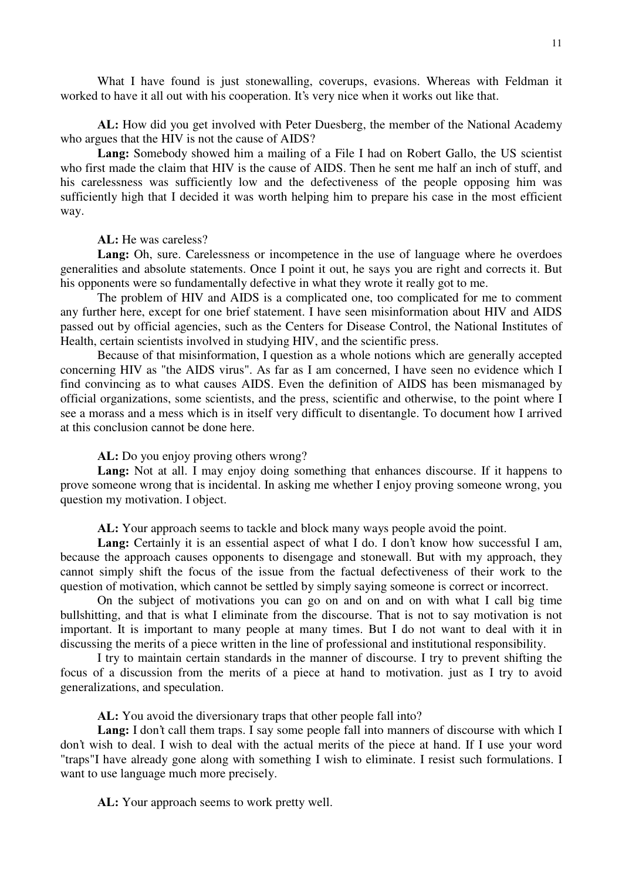What I have found is just stonewalling, coverups, evasions. Whereas with Feldman it worked to have it all out with his cooperation. It's very nice when it works out like that.

AL: How did you get involved with Peter Duesberg, the member of the National Academy who argues that the HIV is not the cause of AIDS?

Lang: Somebody showed him a mailing of a File I had on Robert Gallo, the US scientist who first made the claim that HIV is the cause of AIDS. Then he sent me half an inch of stuff, and his carelessness was sufficiently low and the defectiveness of the people opposing him was sufficiently high that I decided it was worth helping him to prepare his case in the most efficient way.

AL: He was careless?

Lang: Oh, sure. Carelessness or incompetence in the use of language where he overdoes generalities and absolute statements. Once I point it out, he says you are right and corrects it. But his opponents were so fundamentally defective in what they wrote it really got to me.

The problem of HIV and AIDS is a complicated one, too complicated for me to comment any further here, except for one brief statement. I have seen misinformation about HIV and AIDS passed out by official agencies, such as the Centers for Disease Control, the National Institutes of Health, certain scientists involved in studying HIV, and the scientific press.

Because of that misinformation, I question as a whole notions which are generally accepted concerning HIV as "the AIDS virus". As far as I am concerned, I have seen no evidence which I find convincing as to what causes AIDS. Even the definition of AIDS has been mismanaged by official organizations, some scientists, and the press, scientific and otherwise, to the point where I see a morass and a mess which is in itself very difficult to disentangle. To document how I arrived at this conclusion cannot be done here.

AL: Do you enjoy proving others wrong?

Lang: Not at all. I may enjoy doing something that enhances discourse. If it happens to prove someone wrong that is incidental. In asking me whether I enjoy proving someone wrong, you question my motivation. I object.

AL: Your approach seems to tackle and block many ways people avoid the point.

**Lang:** Certainly it is an essential aspect of what I do. I don't know how successful I am, because the approach causes opponents to disengage and stonewall. But with my approach, they cannot simply shift the focus of the issue from the factual defectiveness of their work to the question of motivation, which cannot be settled by simply saying someone is correct or incorrect.

On the subject of motivations you can go on and on and on with what I call big time bullshitting, and that is what I eliminate from the discourse. That is not to say motivation is not important. It is important to many people at many times. But I do not want to deal with it in discussing the merits of a piece written in the line of professional and institutional responsibility.

I try to maintain certain standards in the manner of discourse. I try to prevent shifting the focus of a discussion from the merits of a piece at hand to motivation. just as I try to avoid generalizations, and speculation.

AL: You avoid the diversionary traps that other people fall into?

Lang: I don't call them traps. I say some people fall into manners of discourse with which I don't wish to deal. I wish to deal with the actual merits of the piece at hand. If I use your word "traps"I have already gone along with something I wish to eliminate. I resist such formulations. I want to use language much more precisely.

AL: Your approach seems to work pretty well.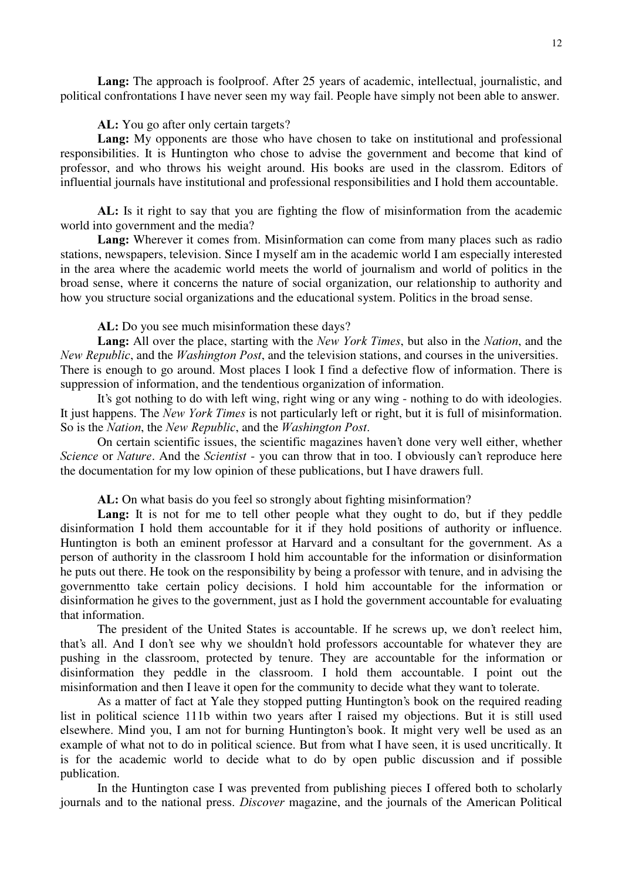Lang: The approach is foolproof. After 25 years of academic, intellectual, journalistic, and political confrontations I have never seen my way fail. People have simply not been able to answer.

# AL: You go after only certain targets?

Lang: My opponents are those who have chosen to take on institutional and professional responsibilities. It is Huntington who chose to advise the government and become that kind of professor, and who throws his weight around. His books are used in the classrom. Editors of influential journals have institutional and professional responsibilities and I hold them accountable.

AL: Is it right to say that you are fighting the flow of misinformation from the academic world into government and the media?

Lang: Wherever it comes from. Misinformation can come from many places such as radio stations, newspapers, television. Since I myself am in the academic world I am especially interested in the area where the academic world meets the world of journalism and world of politics in the broad sense, where it concerns the nature of social organization, our relationship to authority and how you structure social organizations and the educational system. Politics in the broad sense.

AL: Do you see much misinformation these days?

Lang: All over the place, starting with the New York Times, but also in the Nation, and the New Republic, and the Washington Post, and the television stations, and courses in the universities. There is enough to go around. Most places I look I find a defective flow of information. There is suppression of information, and the tendentious organization of information.

It's got nothing to do with left wing, right wing or any wing - nothing to do with ideologies. It just happens. The New York Times is not particularly left or right, but it is full of misinformation. So is the Nation, the New Republic, and the Washington Post.

On certain scientific issues, the scientific magazines haven't done very well either, whether Science or Nature. And the Scientist - you can throw that in too. I obviously can't reproduce here the documentation for my low opinion of these publications, but I have drawers full.

AL: On what basis do you feel so strongly about fighting misinformation?

Lang: It is not for me to tell other people what they ought to do, but if they peddle disinformation I hold them accountable for it if they hold positions of authority or influence. Huntington is both an eminent professor at Harvard and a consultant for the government. As a person of authority in the classroom I hold him accountable for the information or disinformation he puts out there. He took on the responsibility by being a professor with tenure, and in advising the governmentto take certain policy decisions. I hold him accountable for the information or disinformation he gives to the government, just as I hold the government accountable for evaluating that information.

The president of the United States is accountable. If he screws up, we don't reelect him, that's all. And I don't see why we shouldn't hold professors accountable for whatever they are pushing in the classroom, protected by tenure. They are accountable for the information or disinformation they peddle in the classroom. I hold them accountable. I point out the misinformation and then I leave it open for the community to decide what they want to tolerate.

As a matter of fact at Yale they stopped putting Huntington's book on the required reading list in political science 111b within two years after I raised my objections. But it is still used elsewhere. Mind you, I am not for burning Huntington's book. It might very well be used as an example of what not to do in political science. But from what I have seen, it is used uncritically. It is for the academic world to decide what to do by open public discussion and if possible publication.

In the Huntington case I was prevented from publishing pieces I offered both to scholarly journals and to the national press. *Discover* magazine, and the journals of the American Political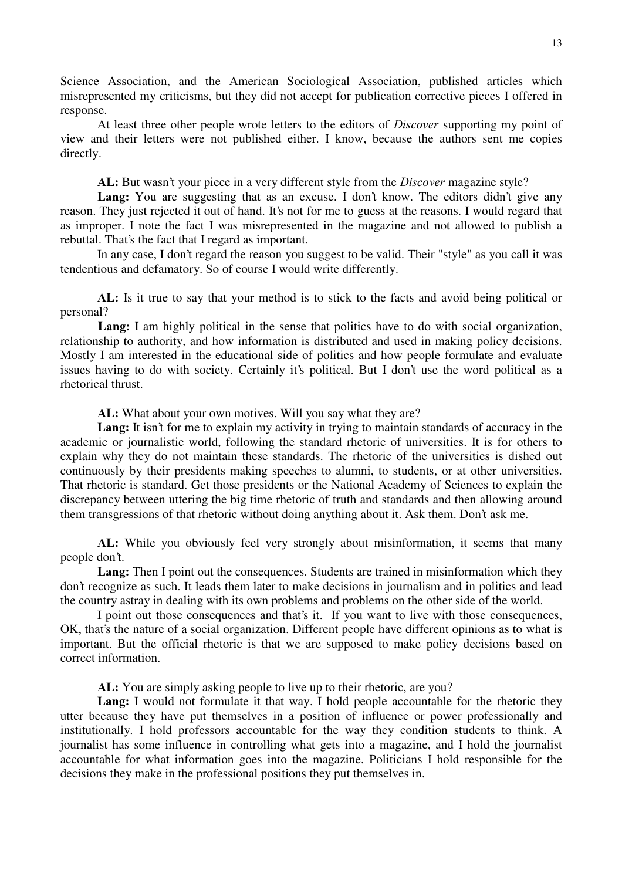Science Association, and the American Sociological Association, published articles which misrepresented my criticisms, but they did not accept for publication corrective pieces I offered in response.

At least three other people wrote letters to the editors of *Discover* supporting my point of view and their letters were not published either. I know, because the authors sent me copies directly.

AL: But wasn't your piece in a very different style from the *Discover* magazine style?

Lang: You are suggesting that as an excuse. I don't know. The editors didn't give any reason. They just rejected it out of hand. It's not for me to guess at the reasons. I would regard that as improper. I note the fact I was misrepresented in the magazine and not allowed to publish a rebuttal. That's the fact that I regard as important.

In any case, I don't regard the reason you suggest to be valid. Their "style" as you call it was tendentious and defamatory. So of course I would write differently.

AL: Is it true to say that your method is to stick to the facts and avoid being political or personal?

Lang: I am highly political in the sense that politics have to do with social organization, relationship to authority, and how information is distributed and used in making policy decisions. Mostly I am interested in the educational side of politics and how people formulate and evaluate issues having to do with society. Certainly it's political. But I don't use the word political as a rhetorical thrust.

AL: What about your own motives. Will you say what they are?

Lang: It isn't for me to explain my activity in trying to maintain standards of accuracy in the academic or journalistic world, following the standard rhetoric of universities. It is for others to explain why they do not maintain these standards. The rhetoric of the universities is dished out continuously by their presidents making speeches to alumni, to students, or at other universities. That rhetoric is standard. Get those presidents or the National Academy of Sciences to explain the discrepancy between uttering the big time rhetoric of truth and standards and then allowing around them transgressions of that rhetoric without doing anything about it. Ask them. Don't ask me.

AL: While you obviously feel very strongly about misinformation, it seems that many people don't.

Lang: Then I point out the consequences. Students are trained in misinformation which they don't recognize as such. It leads them later to make decisions in journalism and in politics and lead the country astray in dealing with its own problems and problems on the other side of the world.

I point out those consequences and that's it. If you want to live with those consequences, OK, that's the nature of a social organization. Different people have different opinions as to what is important. But the official rhetoric is that we are supposed to make policy decisions based on correct information.

AL: You are simply asking people to live up to their rhetoric, are you?

Lang: I would not formulate it that way. I hold people accountable for the rhetoric they utter because they have put themselves in a position of influence or power professionally and institutionally. I hold professors accountable for the way they condition students to think. A journalist has some influence in controlling what gets into a magazine, and I hold the journalist accountable for what information goes into the magazine. Politicians I hold responsible for the decisions they make in the professional positions they put themselves in.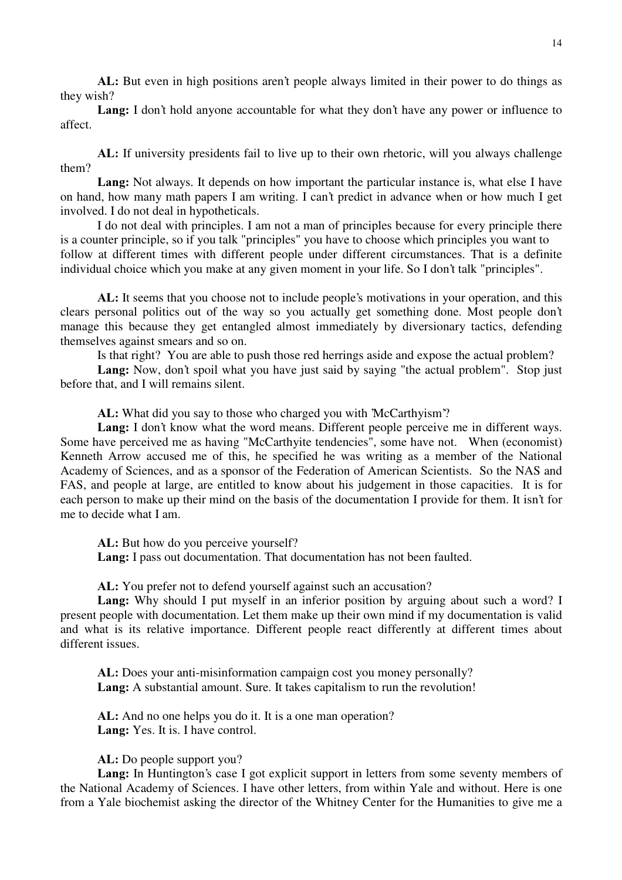AL: But even in high positions aren't people always limited in their power to do things as they wish?

**Lang:** I don't hold anyone accountable for what they don't have any power or influence to affect.

AL: If university presidents fail to live up to their own rhetoric, will you always challenge them?

Lang: Not always. It depends on how important the particular instance is, what else I have on hand, how many math papers I am writing. I can't predict in advance when or how much I get involved. I do not deal in hypotheticals.

I do not deal with principles. I am not a man of principles because for every principle there is a counter principle, so if you talk "principles" you have to choose which principles you want to follow at different times with different people under different circumstances. That is a definite individual choice which you make at any given moment in your life. So I don't talk "principles".

AL: It seems that you choose not to include people's motivations in your operation, and this clears personal politics out of the way so you actually get something done. Most people don't manage this because they get entangled almost immediately by diversionary tactics, defending themselves against smears and so on.

Is that right? You are able to push those red herrings aside and expose the actual problem?

Lang: Now, don't spoil what you have just said by saying "the actual problem". Stop just before that, and I will remains silent.

AL: What did you say to those who charged you with 'McCarthyism'?

Lang: I don't know what the word means. Different people perceive me in different ways. Some have perceived me as having "McCarthyite tendencies", some have not. When (economist) Kenneth Arrow accused me of this, he specified he was writing as a member of the National Academy of Sciences, and as a sponsor of the Federation of American Scientists. So the NAS and FAS, and people at large, are entitled to know about his judgement in those capacities. It is for each person to make up their mind on the basis of the documentation I provide for them. It isn't for me to decide what I am.

AL: But how do you perceive yourself? **Lang:** I pass out documentation. That documentation has not been faulted.

AL: You prefer not to defend yourself against such an accusation?

Lang: Why should I put myself in an inferior position by arguing about such a word? I present people with documentation. Let them make up their own mind if my documentation is valid and what is its relative importance. Different people react differently at different times about different issues.

AL: Does your anti-misinformation campaign cost you money personally? Lang: A substantial amount. Sure. It takes capitalism to run the revolution!

AL: And no one helps you do it. It is a one man operation? Lang: Yes. It is. I have control.

AL: Do people support you?

Lang: In Huntington's case I got explicit support in letters from some seventy members of the National Academy of Sciences. I have other letters, from within Yale and without. Here is one from a Yale biochemist asking the director of the Whitney Center for the Humanities to give me a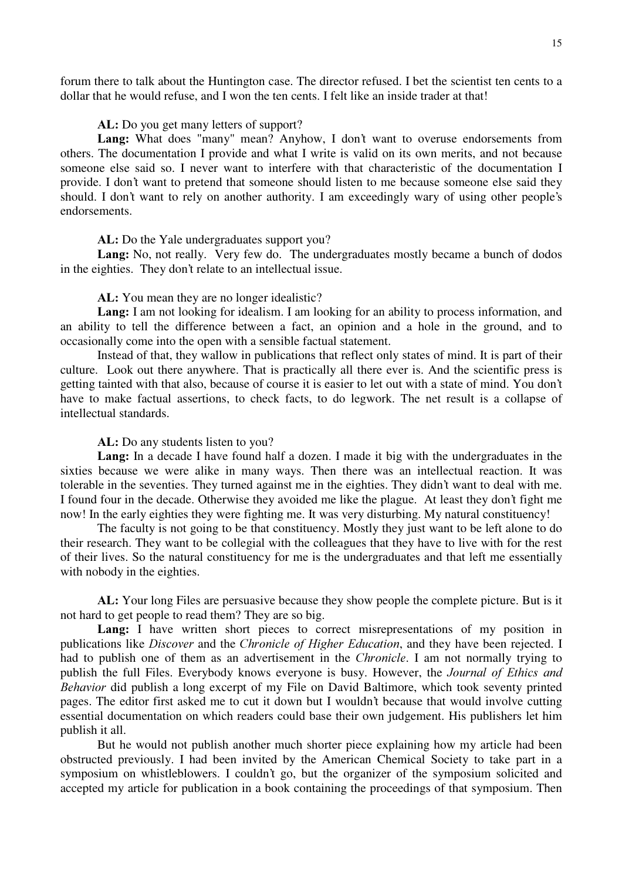forum there to talk about the Huntington case. The director refused. I bet the scientist ten cents to a dollar that he would refuse, and I won the ten cents. I felt like an inside trader at that!

# AL: Do you get many letters of support?

Lang: What does "many" mean? Anyhow, I don't want to overuse endorsements from others. The documentation I provide and what I write is valid on its own merits, and not because someone else said so. I never want to interfere with that characteristic of the documentation I provide. I don't want to pretend that someone should listen to me because someone else said they should. I don't want to rely on another authority. I am exceedingly wary of using other people's endorsements.

# AL: Do the Yale undergraduates support you?

Lang: No, not really. Very few do. The undergraduates mostly became a bunch of dodos in the eighties. They don't relate to an intellectual issue.

# AL: You mean they are no longer idealistic?

Lang: I am not looking for idealism. I am looking for an ability to process information, and an ability to tell the difference between a fact, an opinion and a hole in the ground, and to occasionally come into the open with a sensible factual statement.

Instead of that, they wallow in publications that reflect only states of mind. It is part of their culture. Look out there anywhere. That is practically all there ever is. And the scientific press is getting tainted with that also, because of course it is easier to let out with a state of mind. You don't have to make factual assertions, to check facts, to do legwork. The net result is a collapse of intellectual standards.

# AL: Do any students listen to you?

Lang: In a decade I have found half a dozen. I made it big with the undergraduates in the sixties because we were alike in many ways. Then there was an intellectual reaction. It was tolerable in the seventies. They turned against me in the eighties. They didn't want to deal with me. I found four in the decade. Otherwise they avoided me like the plague. At least they don't fight me now! In the early eighties they were fighting me. It was very disturbing. My natural constituency!

The faculty is not going to be that constituency. Mostly they just want to be left alone to do their research. They want to be collegial with the colleagues that they have to live with for the rest of their lives. So the natural constituency for me is the undergraduates and that left me essentially with nobody in the eighties.

AL: Your long Files are persuasive because they show people the complete picture. But is it not hard to get people to read them? They are so big.

Lang: I have written short pieces to correct misrepresentations of my position in publications like *Discover* and the *Chronicle of Higher Education*, and they have been rejected. I had to publish one of them as an advertisement in the *Chronicle*. I am not normally trying to publish the full Files. Everybody knows everyone is busy. However, the Journal of Ethics and Behavior did publish a long excerpt of my File on David Baltimore, which took seventy printed pages. The editor first asked me to cut it down but I wouldn't because that would involve cutting essential documentation on which readers could base their own judgement. His publishers let him publish it all.

But he would not publish another much shorter piece explaining how my article had been obstructed previously. I had been invited by the American Chemical Society to take part in a symposium on whistleblowers. I couldn't go, but the organizer of the symposium solicited and accepted my article for publication in a book containing the proceedings of that symposium. Then